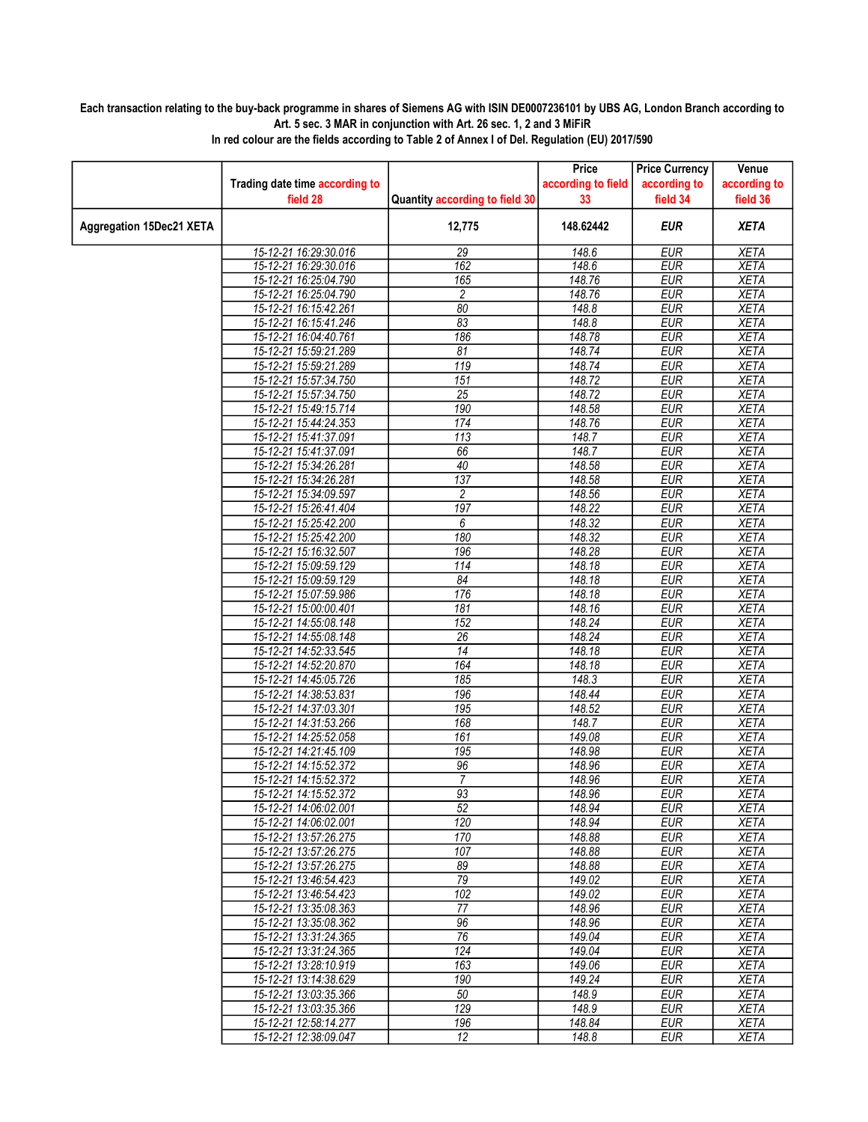## Each transaction relating to the buy-back programme in shares of Siemens AG with ISIN DE0007236101 by UBS AG, London Branch according to Art. 5 sec. 3 MAR in conjunction with Art. 26 sec. 1, 2 and 3 MiFiR

|                                 |                                |                                | Price              | <b>Price Currency</b> | Venue        |
|---------------------------------|--------------------------------|--------------------------------|--------------------|-----------------------|--------------|
|                                 | Trading date time according to |                                | according to field | according to          | according to |
|                                 | field 28                       | Quantity according to field 30 | 33                 | field 34              | field 36     |
| <b>Aggregation 15Dec21 XETA</b> |                                | 12,775                         | 148.62442          | <b>EUR</b>            | <b>XETA</b>  |
|                                 | 15-12-21 16:29:30.016          | 29                             | 148.6              | <b>EUR</b>            | <b>XETA</b>  |
|                                 | 15-12-21 16:29:30.016          | 162                            | 148.6              | <b>EUR</b>            | <b>XETA</b>  |
|                                 | 15-12-21 16:25:04.790          | 165                            | 148.76             | <b>EUR</b>            | <b>XETA</b>  |
|                                 | 15-12-21 16:25:04.790          | 2                              | 148.76             | <b>EUR</b>            | <b>XETA</b>  |
|                                 | 15-12-21 16:15:42.261          | $\overline{80}$                | 148.8              | <b>EUR</b>            | <b>XETA</b>  |
|                                 | 15-12-21 16:15:41.246          | 83                             | 148.8              | <b>EUR</b>            | <b>XETA</b>  |
|                                 | 15-12-21 16:04:40.761          | 186                            | 148.78             | <b>EUR</b>            | <b>XETA</b>  |
|                                 | 15-12-21 15:59:21.289          | 81                             | 148.74             | <b>EUR</b>            | <b>XETA</b>  |
|                                 | 15-12-21 15:59:21.289          | $\overline{119}$               | 148.74             | <b>EUR</b>            | <b>XETA</b>  |
|                                 | 15-12-21 15:57:34.750          | $\overline{151}$               | 148.72             | <b>EUR</b>            | <b>XETA</b>  |
|                                 | 15-12-21 15:57:34.750          | $\overline{25}$                | 148.72             | <b>EUR</b>            | <b>XETA</b>  |
|                                 | 15-12-21 15:49:15.714          | 190                            | 148.58             | <b>EUR</b>            | <b>XETA</b>  |
|                                 | 15-12-21 15:44:24.353          | 174                            | 148.76             | <b>EUR</b>            | <b>XETA</b>  |
|                                 | 15-12-21 15:41:37.091          | $\overline{113}$               | 148.7              | <b>EUR</b>            | <b>XETA</b>  |
|                                 | 15-12-21 15:41:37.091          | 66                             | 148.7              | <b>EUR</b>            | <b>XETA</b>  |
|                                 | 15-12-21 15:34:26.281          | 40                             | 148.58             | <b>EUR</b>            | <b>XETA</b>  |
|                                 | 15-12-21 15:34:26.281          | 137                            | 148.58             | <b>EUR</b>            | <b>XETA</b>  |
|                                 | 15-12-21 15:34:09.597          | $\overline{c}$                 | 148.56             | <b>EUR</b>            | <b>XETA</b>  |
|                                 | 15-12-21 15:26:41.404          | 197                            | 148.22             | <b>EUR</b>            | <b>XETA</b>  |
|                                 | 15-12-21 15:25:42.200          | 6                              | 148.32             | <b>EUR</b>            | <b>XETA</b>  |
|                                 | 15-12-21 15:25:42.200          | 180                            | 148.32             | <b>EUR</b>            | <b>XETA</b>  |
|                                 | 15-12-21 15:16:32.507          | 196                            | 148.28             | <b>EUR</b>            | <b>XETA</b>  |
|                                 | 15-12-21 15:09:59.129          | $\overline{114}$               | 148.18             | <b>EUR</b>            | <b>XETA</b>  |
|                                 | 15-12-21 15:09:59.129          | 84                             | 148.18             | <b>EUR</b>            | <b>XETA</b>  |
|                                 | 15-12-21 15:07:59.986          | 176                            | 148.18             | <b>EUR</b>            | <b>XETA</b>  |
|                                 | 15-12-21 15:00:00.401          | $\overline{181}$               | 148.16             | <b>EUR</b>            | <b>XETA</b>  |
|                                 | 15-12-21 14:55:08.148          | $\overline{152}$               | 148.24             | <b>EUR</b>            | <b>XETA</b>  |
|                                 | 15-12-21 14:55:08.148          | $\overline{26}$                | 148.24             | <b>EUR</b>            | <b>XETA</b>  |
|                                 | 15-12-21 14:52:33.545          | 14                             | 148.18             | <b>EUR</b>            | <b>XETA</b>  |
|                                 | 15-12-21 14:52:20.870          | 164                            | 148.18             | <b>EUR</b>            | <b>XETA</b>  |
|                                 | 15-12-21 14:45:05.726          | 185                            | 148.3              | <b>EUR</b>            | <b>XETA</b>  |
|                                 | 15-12-21 14:38:53.831          | 196                            | 148.44             | <b>EUR</b>            | <b>XETA</b>  |
|                                 | 15-12-21 14:37:03.301          | $\overline{195}$               | 148.52             | <b>EUR</b>            | <b>XETA</b>  |
|                                 | 15-12-21 14:31:53.266          | 168                            | 148.7              | <b>EUR</b>            | <b>XETA</b>  |
|                                 | 15-12-21 14:25:52.058          | 161                            | 149.08             | <b>EUR</b>            | XETA         |
|                                 | 15-12-21 14:21:45.109          | $\overline{195}$               | 148.98             | <b>EUR</b>            | <b>XETA</b>  |
|                                 | 15-12-21 14:15:52.372          | 96                             | 148.96             | <b>EUR</b>            | <b>XETA</b>  |
|                                 | 15-12-21 14:15:52.372          | 7                              | 148.96             | <b>EUR</b>            | <b>XETA</b>  |
|                                 | 15-12-21 14:15:52.372          | 93                             | 148.96             | <b>EUR</b>            | <b>XETA</b>  |
|                                 | 15-12-21 14:06:02.001          | 52                             | 148.94             | <b>EUR</b>            | <b>XETA</b>  |
|                                 | 15-12-21 14:06:02.001          | 120                            | 148.94             | EUR                   | XETA         |
|                                 | 15-12-21 13:57:26.275          | 170                            | 148.88             | <b>EUR</b>            | <b>XETA</b>  |
|                                 | 15-12-21 13:57:26.275          | 107                            | 148.88             | <b>EUR</b>            | <b>XETA</b>  |
|                                 | 15-12-21 13:57:26.275          | 89                             | 148.88             | <b>EUR</b>            | XETA         |
|                                 | 15-12-21 13:46:54.423          | $\overline{79}$                | 149.02             | <b>EUR</b>            | <b>XETA</b>  |
|                                 | 15-12-21 13:46:54.423          | 102                            | 149.02             | <b>EUR</b>            | <b>XETA</b>  |
|                                 | 15-12-21 13:35:08.363          | 77                             | 148.96             | <b>EUR</b>            | XETA         |
|                                 | 15-12-21 13:35:08.362          | 96                             | 148.96             | <b>EUR</b>            | <b>XETA</b>  |
|                                 | 15-12-21 13:31:24.365          | 76                             | 149.04             | <b>EUR</b>            | <b>XETA</b>  |
|                                 | 15-12-21 13:31:24.365          | 124                            | 149.04             | <b>EUR</b>            | <b>XETA</b>  |
|                                 | 15-12-21 13:28:10.919          | 163                            | 149.06             | <b>EUR</b>            | <b>XETA</b>  |
|                                 | 15-12-21 13:14:38.629          | 190                            | 149.24             | <b>EUR</b>            | <b>XETA</b>  |
|                                 | 15-12-21 13:03:35.366          | 50                             | 148.9              | <b>EUR</b>            | <b>XETA</b>  |
|                                 | 15-12-21 13:03:35.366          | 129                            | 148.9              | <b>EUR</b>            | <b>XETA</b>  |
|                                 | 15-12-21 12:58:14.277          | 196                            | 148.84             | <b>EUR</b>            | <b>XETA</b>  |
|                                 | 15-12-21 12:38:09.047          | $\overline{12}$                | 148.8              | <b>EUR</b>            | <b>XETA</b>  |

In red colour are the fields according to Table 2 of Annex I of Del. Regulation (EU) 2017/590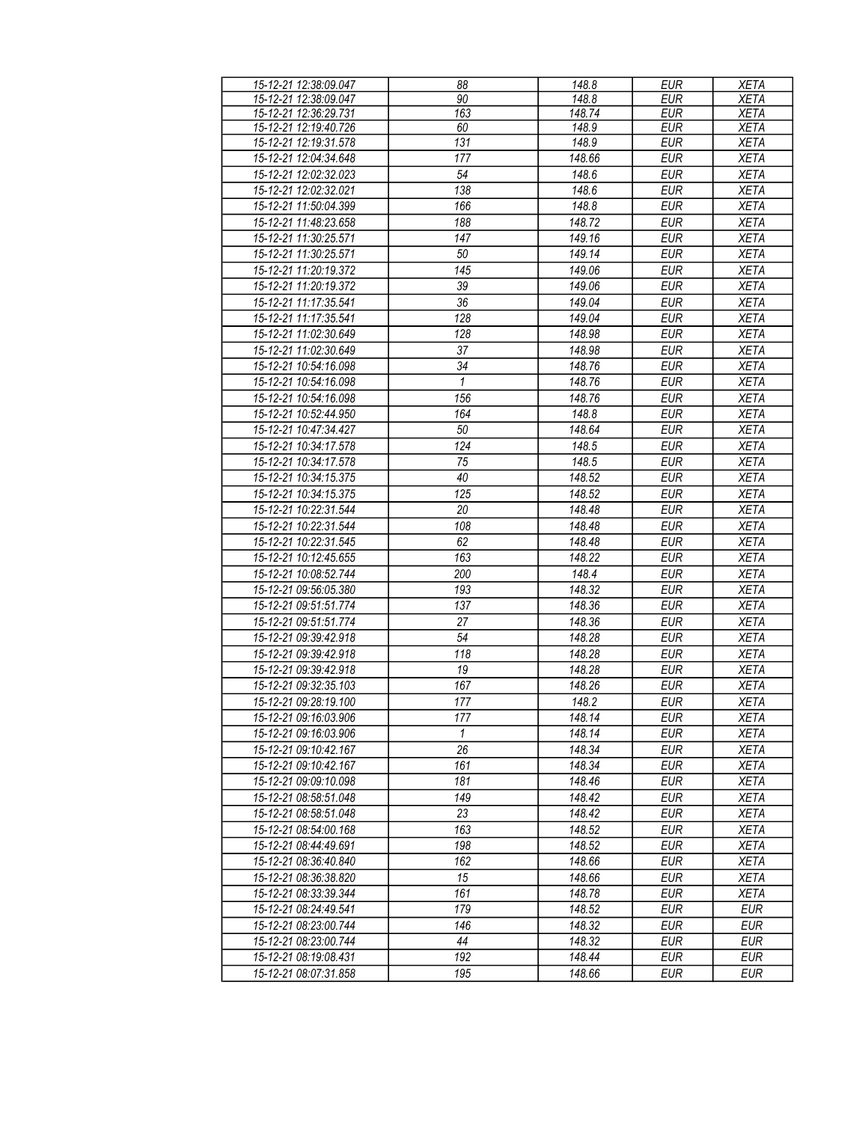| 15-12-21 12:38:09.047 | 88           | 148.8  | <b>EUR</b> | <b>XETA</b> |
|-----------------------|--------------|--------|------------|-------------|
|                       |              |        |            |             |
| 15-12-21 12:38:09.047 | 90           | 148.8  | <b>EUR</b> | <b>XETA</b> |
| 15-12-21 12:36:29.731 | 163          | 148.74 | <b>EUR</b> | <b>XETA</b> |
| 15-12-21 12:19:40.726 | 60           | 148.9  | <b>EUR</b> | <b>XETA</b> |
| 15-12-21 12:19:31.578 | 131          | 148.9  | <b>EUR</b> | <b>XETA</b> |
| 15-12-21 12:04:34.648 | 177          | 148.66 | <b>EUR</b> | <b>XETA</b> |
| 15-12-21 12:02:32.023 | 54           | 148.6  | <b>EUR</b> | <b>XETA</b> |
| 15-12-21 12:02:32.021 | 138          | 148.6  | <b>EUR</b> | <b>XETA</b> |
|                       |              |        |            |             |
| 15-12-21 11:50:04.399 | 166          | 148.8  | <b>EUR</b> | <b>XETA</b> |
| 15-12-21 11:48:23.658 | 188          | 148.72 | <b>EUR</b> | <b>XETA</b> |
| 15-12-21 11:30:25.571 | 147          | 149.16 | <b>EUR</b> | <b>XETA</b> |
| 15-12-21 11:30:25.571 | 50           | 149.14 | <b>EUR</b> | <b>XETA</b> |
| 15-12-21 11:20:19.372 | 145          | 149.06 | <b>EUR</b> | <b>XETA</b> |
| 15-12-21 11:20:19.372 | 39           | 149.06 | <b>EUR</b> | <b>XETA</b> |
| 15-12-21 11:17:35.541 | 36           | 149.04 | <b>EUR</b> | <b>XETA</b> |
| 15-12-21 11:17:35.541 | 128          | 149.04 | <b>EUR</b> | <b>XETA</b> |
|                       |              |        |            |             |
| 15-12-21 11:02:30.649 | 128          | 148.98 | <b>EUR</b> | <b>XETA</b> |
| 15-12-21 11:02:30.649 | 37           | 148.98 | <b>EUR</b> | <b>XETA</b> |
| 15-12-21 10:54:16.098 | 34           | 148.76 | <b>EUR</b> | <b>XETA</b> |
| 15-12-21 10:54:16.098 | 1            | 148.76 | <b>EUR</b> | <b>XETA</b> |
| 15-12-21 10:54:16.098 | 156          | 148.76 | <b>EUR</b> | <b>XETA</b> |
| 15-12-21 10:52:44.950 | 164          | 148.8  | <b>EUR</b> | <b>XETA</b> |
| 15-12-21 10:47:34.427 | 50           | 148.64 | <b>EUR</b> | <b>XETA</b> |
| 15-12-21 10:34:17.578 | 124          | 148.5  | <b>EUR</b> | <b>XETA</b> |
|                       |              |        |            |             |
| 15-12-21 10:34:17.578 | 75           | 148.5  | <b>EUR</b> | <b>XETA</b> |
| 15-12-21 10:34:15.375 | 40           | 148.52 | <b>EUR</b> | <b>XETA</b> |
| 15-12-21 10:34:15.375 | 125          | 148.52 | <b>EUR</b> | <b>XETA</b> |
| 15-12-21 10:22:31.544 | 20           | 148.48 | <b>EUR</b> | <b>XETA</b> |
| 15-12-21 10:22:31.544 | 108          | 148.48 | <b>EUR</b> | <b>XETA</b> |
| 15-12-21 10:22:31.545 | 62           | 148.48 | <b>EUR</b> | <b>XETA</b> |
| 15-12-21 10:12:45.655 | 163          | 148.22 | <b>EUR</b> | <b>XETA</b> |
| 15-12-21 10:08:52.744 | 200          | 148.4  | <b>EUR</b> |             |
|                       |              |        |            | <b>XETA</b> |
| 15-12-21 09:56:05.380 | 193          | 148.32 | <b>EUR</b> | <b>XETA</b> |
| 15-12-21 09:51:51.774 | 137          | 148.36 | <b>EUR</b> | <b>XETA</b> |
| 15-12-21 09:51:51.774 | 27           | 148.36 | <b>EUR</b> | <b>XETA</b> |
| 15-12-21 09:39:42.918 | 54           | 148.28 | <b>EUR</b> | <b>XETA</b> |
| 15-12-21 09:39:42.918 | 118          | 148.28 | <b>EUR</b> | <b>XETA</b> |
| 15-12-21 09:39:42.918 | 19           | 148.28 | <b>EUR</b> | <b>XETA</b> |
| 15-12-21 09:32:35.103 | 167          | 148.26 | <b>EUR</b> | <b>XETA</b> |
| 15-12-21 09:28:19.100 | 177          | 148.2  | <b>EUR</b> | <b>XETA</b> |
|                       |              |        |            |             |
| 15-12-21 09:16:03.906 | 177          | 148.14 | EUR        | <b>XETA</b> |
| 15-12-21 09:16:03.906 | $\mathbf{1}$ | 148.14 | <b>EUR</b> | XETA        |
| 15-12-21 09:10:42.167 | 26           | 148.34 | <b>EUR</b> | <b>XETA</b> |
| 15-12-21 09:10:42.167 | 161          | 148.34 | <b>EUR</b> | <b>XETA</b> |
| 15-12-21 09:09:10.098 | 181          | 148.46 | <b>EUR</b> | <b>XETA</b> |
| 15-12-21 08:58:51.048 | 149          | 148.42 | <b>EUR</b> | <b>XETA</b> |
| 15-12-21 08:58:51.048 | 23           | 148.42 | <b>EUR</b> | <b>XETA</b> |
|                       | 163          |        |            |             |
| 15-12-21 08:54:00.168 |              | 148.52 | <b>EUR</b> | <b>XETA</b> |
| 15-12-21 08:44:49.691 | 198          | 148.52 | <b>EUR</b> | <b>XETA</b> |
| 15-12-21 08:36:40.840 | 162          | 148.66 | <b>EUR</b> | <b>XETA</b> |
| 15-12-21 08:36:38.820 | 15           | 148.66 | <b>EUR</b> | <b>XETA</b> |
| 15-12-21 08:33:39.344 | 161          | 148.78 | EUR        | XETA        |
| 15-12-21 08:24:49.541 | 179          | 148.52 | <b>EUR</b> | <b>EUR</b>  |
| 15-12-21 08:23:00.744 | 146          | 148.32 | <b>EUR</b> | <b>EUR</b>  |
| 15-12-21 08:23:00.744 | 44           | 148.32 | <b>EUR</b> | <b>EUR</b>  |
| 15-12-21 08:19:08.431 | 192          | 148.44 | EUR        | <b>EUR</b>  |
|                       |              |        |            |             |
| 15-12-21 08:07:31.858 | 195          | 148.66 | <b>EUR</b> | EUR         |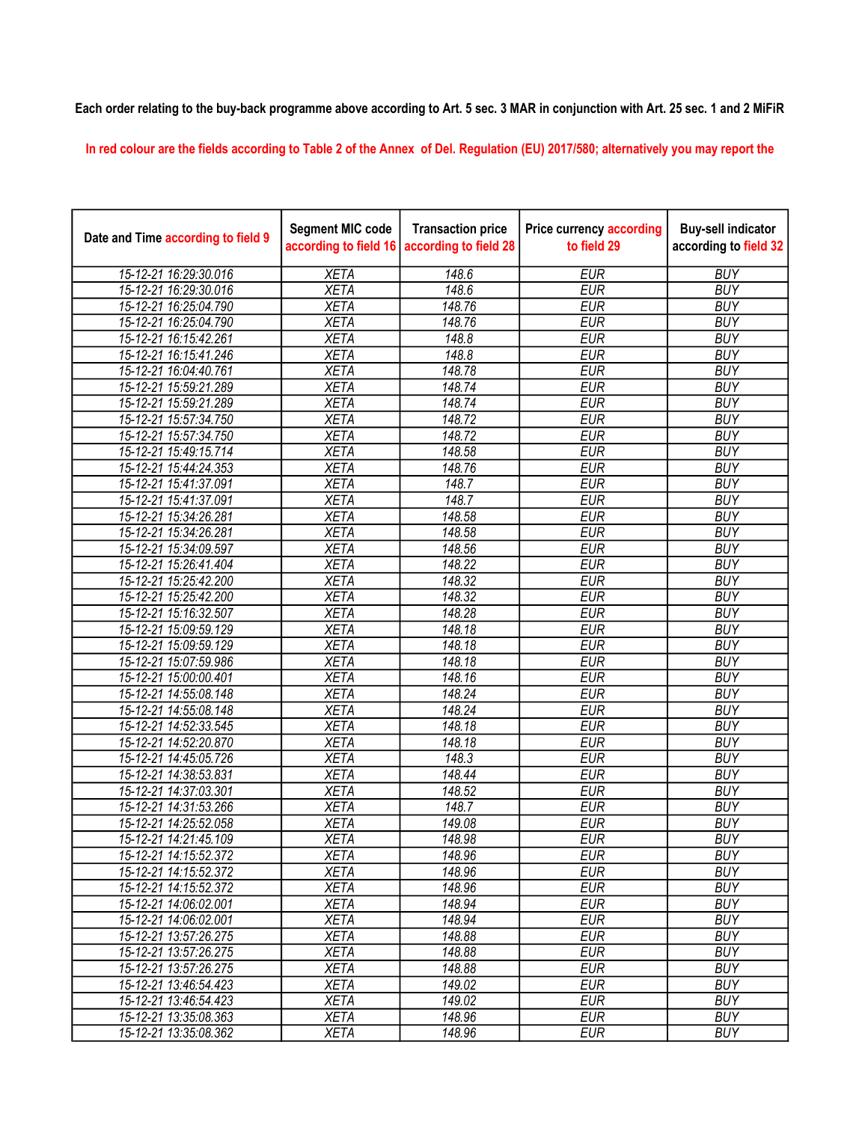## Each order relating to the buy-back programme above according to Art. 5 sec. 3 MAR in conjunction with Art. 25 sec. 1 and 2 MiFiR

In red colour are the fields according to Table 2 of the Annex of Del. Regulation (EU) 2017/580; alternatively you may report the

| Date and Time according to field 9 | <b>Segment MIC code</b><br>according to field 16 | <b>Transaction price</b><br>according to field 28 | <b>Price currency according</b><br>to field 29 | <b>Buy-sell indicator</b><br>according to field 32 |
|------------------------------------|--------------------------------------------------|---------------------------------------------------|------------------------------------------------|----------------------------------------------------|
| 15-12-21 16:29:30.016              | <b>XETA</b>                                      | 148.6                                             | <b>EUR</b>                                     | <b>BUY</b>                                         |
| 15-12-21 16:29:30.016              | <b>XETA</b>                                      | 148.6                                             | <b>EUR</b>                                     | <b>BUY</b>                                         |
| 15-12-21 16:25:04.790              | <b>XETA</b>                                      | 148.76                                            | <b>EUR</b>                                     | <b>BUY</b>                                         |
| 15-12-21 16:25:04.790              | <b>XETA</b>                                      | 148.76                                            | <b>EUR</b>                                     | <b>BUY</b>                                         |
| 15-12-21 16:15:42.261              | <b>XETA</b>                                      | 148.8                                             | <b>EUR</b>                                     | <b>BUY</b>                                         |
| 15-12-21 16:15:41.246              | <b>XETA</b>                                      | 148.8                                             | <b>EUR</b>                                     | <b>BUY</b>                                         |
| 15-12-21 16:04:40.761              | <b>XETA</b>                                      | 148.78                                            | <b>EUR</b>                                     | <b>BUY</b>                                         |
| 15-12-21 15:59:21.289              | <b>XETA</b>                                      | 148.74                                            | <b>EUR</b>                                     | <b>BUY</b>                                         |
| 15-12-21 15:59:21.289              | <b>XETA</b>                                      | 148.74                                            | <b>EUR</b>                                     | <b>BUY</b>                                         |
| 15-12-21 15:57:34.750              | <b>XETA</b>                                      | 148.72                                            | <b>EUR</b>                                     | <b>BUY</b>                                         |
| 15-12-21 15:57:34.750              | <b>XETA</b>                                      | 148.72                                            | <b>EUR</b>                                     | <b>BUY</b>                                         |
| 15-12-21 15:49:15.714              | <b>XETA</b>                                      | 148.58                                            | <b>EUR</b>                                     | <b>BUY</b>                                         |
| 15-12-21 15:44:24.353              | <b>XETA</b>                                      | 148.76                                            | <b>EUR</b>                                     | <b>BUY</b>                                         |
| 15-12-21 15:41:37.091              | <b>XETA</b>                                      | 148.7                                             | <b>EUR</b>                                     | <b>BUY</b>                                         |
| 15-12-21 15:41:37.091              | <b>XETA</b>                                      | 148.7                                             | <b>EUR</b>                                     | <b>BUY</b>                                         |
| 15-12-21 15:34:26.281              | <b>XETA</b>                                      | 148.58                                            | <b>EUR</b>                                     | <b>BUY</b>                                         |
| 15-12-21 15:34:26.281              | <b>XETA</b>                                      | 148.58                                            | <b>EUR</b>                                     | <b>BUY</b>                                         |
| 15-12-21 15:34:09.597              | <b>XETA</b>                                      | 148.56                                            | <b>EUR</b>                                     | <b>BUY</b>                                         |
| 15-12-21 15:26:41.404              | <b>XETA</b>                                      | 148.22                                            | <b>EUR</b>                                     | <b>BUY</b>                                         |
| 15-12-21 15:25:42.200              | <b>XETA</b>                                      | 148.32                                            | <b>EUR</b>                                     | <b>BUY</b>                                         |
| 15-12-21 15:25:42.200              | <b>XETA</b>                                      | 148.32                                            | <b>EUR</b>                                     | <b>BUY</b>                                         |
| 15-12-21 15:16:32.507              | <b>XETA</b>                                      | 148.28                                            | <b>EUR</b>                                     | <b>BUY</b>                                         |
| 15-12-21 15:09:59.129              | <b>XETA</b>                                      | 148.18                                            | <b>EUR</b>                                     | <b>BUY</b>                                         |
| 15-12-21 15:09:59.129              | <b>XETA</b>                                      | 148.18                                            | <b>EUR</b>                                     | <b>BUY</b>                                         |
| 15-12-21 15:07:59.986              | <b>XETA</b>                                      | 148.18                                            | <b>EUR</b>                                     | <b>BUY</b>                                         |
| 15-12-21 15:00:00.401              | <b>XETA</b>                                      | 148.16                                            | <b>EUR</b>                                     | <b>BUY</b>                                         |
| 15-12-21 14:55:08.148              | <b>XETA</b>                                      | 148.24                                            | <b>EUR</b>                                     | <b>BUY</b>                                         |
| 15-12-21 14:55:08.148              | <b>XETA</b>                                      | 148.24                                            | <b>EUR</b>                                     | <b>BUY</b>                                         |
| 15-12-21 14:52:33.545              | <b>XETA</b>                                      | 148.18                                            | <b>EUR</b>                                     | <b>BUY</b>                                         |
| 15-12-21 14:52:20.870              | <b>XETA</b>                                      | 148.18                                            | <b>EUR</b>                                     | <b>BUY</b>                                         |
| 15-12-21 14:45:05.726              | <b>XETA</b>                                      | 148.3                                             | <b>EUR</b>                                     | <b>BUY</b>                                         |
| 15-12-21 14:38:53.831              | <b>XETA</b>                                      | 148.44                                            | <b>EUR</b>                                     | <b>BUY</b>                                         |
| 15-12-21 14:37:03.301              | <b>XETA</b>                                      | 148.52                                            | <b>EUR</b>                                     | <b>BUY</b>                                         |
| 15-12-21 14:31:53.266              | <b>XETA</b>                                      | 148.7                                             | <b>EUR</b>                                     | <b>BUY</b>                                         |
| 15-12-21 14:25:52.058              | <b>XETA</b>                                      | 149.08                                            | <b>EUR</b>                                     | <b>BUY</b>                                         |
| 15-12-21 14:21:45.109              | <b>XETA</b>                                      | 148.98                                            | <b>EUR</b>                                     | <b>BUY</b>                                         |
| 15-12-21 14:15:52.372              | XETA                                             | 148.96                                            | EUR                                            | <b>BUY</b>                                         |
| 15-12-21 14:15:52.372              | <b>XETA</b>                                      | 148.96                                            | <b>EUR</b>                                     | <b>BUY</b>                                         |
| 15-12-21 14:15:52.372              | <b>XETA</b>                                      | 148.96                                            | <b>EUR</b>                                     | <b>BUY</b>                                         |
| 15-12-21 14:06:02.001              | <b>XETA</b>                                      | 148.94                                            | <b>EUR</b>                                     | <b>BUY</b>                                         |
| 15-12-21 14:06:02.001              | <b>XETA</b>                                      | 148.94                                            | <b>EUR</b>                                     | <b>BUY</b>                                         |
| 15-12-21 13:57:26.275              | <b>XETA</b>                                      | 148.88                                            | <b>EUR</b>                                     | <b>BUY</b>                                         |
| 15-12-21 13:57:26.275              | <b>XETA</b>                                      | 148.88                                            | <b>EUR</b>                                     | <b>BUY</b>                                         |
| 15-12-21 13:57:26.275              | <b>XETA</b>                                      | 148.88                                            | <b>EUR</b>                                     | <b>BUY</b>                                         |
| 15-12-21 13:46:54.423              | <b>XETA</b>                                      | 149.02                                            | <b>EUR</b>                                     | <b>BUY</b>                                         |
| 15-12-21 13:46:54.423              | <b>XETA</b>                                      | 149.02                                            | <b>EUR</b>                                     | <b>BUY</b>                                         |
| 15-12-21 13:35:08.363              | <b>XETA</b>                                      | 148.96                                            | <b>EUR</b>                                     | <b>BUY</b>                                         |
| 15-12-21 13:35:08.362              | <b>XETA</b>                                      | 148.96                                            | <b>EUR</b>                                     | <b>BUY</b>                                         |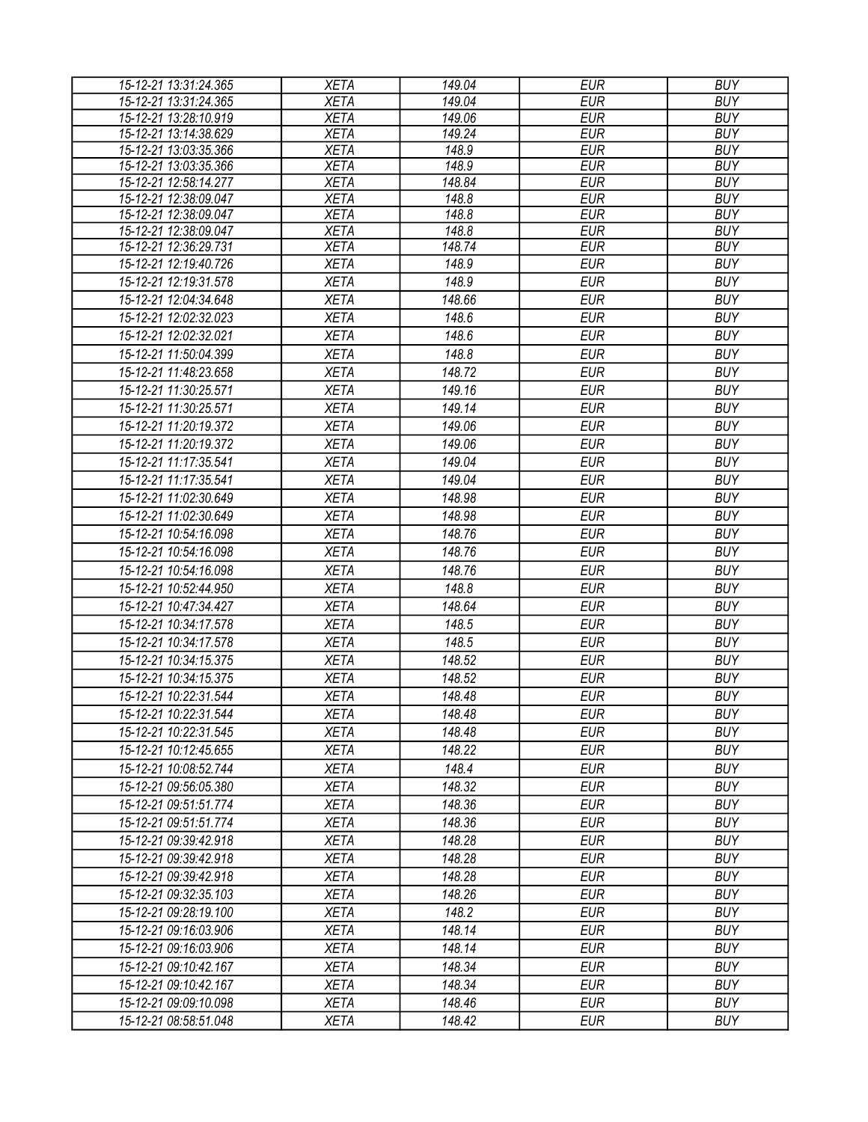| 15-12-21 13:31:24.365 | <b>XETA</b> | 149.04 | <b>EUR</b> | <b>BUY</b> |
|-----------------------|-------------|--------|------------|------------|
| 15-12-21 13:31:24.365 | <b>XETA</b> | 149.04 | <b>EUR</b> | <b>BUY</b> |
| 15-12-21 13:28:10.919 | <b>XETA</b> | 149.06 | <b>EUR</b> | <b>BUY</b> |
| 15-12-21 13:14:38.629 | <b>XETA</b> | 149.24 | <b>EUR</b> | <b>BUY</b> |
| 15-12-21 13:03:35.366 | <b>XETA</b> | 148.9  | <b>EUR</b> | <b>BUY</b> |
| 15-12-21 13:03:35.366 | <b>XETA</b> | 148.9  | <b>EUR</b> | <b>BUY</b> |
| 15-12-21 12:58:14.277 | <b>XETA</b> | 148.84 | <b>EUR</b> | <b>BUY</b> |
| 15-12-21 12:38:09.047 | <b>XETA</b> | 148.8  | <b>EUR</b> | <b>BUY</b> |
| 15-12-21 12:38:09.047 | <b>XETA</b> | 148.8  | <b>EUR</b> | <b>BUY</b> |
| 15-12-21 12:38:09.047 | <b>XETA</b> | 148.8  | <b>EUR</b> | <b>BUY</b> |
| 15-12-21 12:36:29.731 | <b>XETA</b> | 148.74 | <b>EUR</b> | <b>BUY</b> |
| 15-12-21 12:19:40.726 | <b>XETA</b> | 148.9  | <b>EUR</b> | <b>BUY</b> |
| 15-12-21 12:19:31.578 | <b>XETA</b> | 148.9  | <b>EUR</b> | <b>BUY</b> |
| 15-12-21 12:04:34.648 | <b>XETA</b> | 148.66 | <b>EUR</b> | <b>BUY</b> |
| 15-12-21 12:02:32.023 | <b>XETA</b> | 148.6  | <b>EUR</b> | <b>BUY</b> |
| 15-12-21 12:02:32.021 | <b>XETA</b> | 148.6  | <b>EUR</b> | <b>BUY</b> |
| 15-12-21 11:50:04.399 | <b>XETA</b> | 148.8  | <b>EUR</b> | <b>BUY</b> |
| 15-12-21 11:48:23.658 | <b>XETA</b> | 148.72 | <b>EUR</b> | <b>BUY</b> |
| 15-12-21 11:30:25.571 | <b>XETA</b> | 149.16 | <b>EUR</b> | <b>BUY</b> |
| 15-12-21 11:30:25.571 | <b>XETA</b> | 149.14 | <b>EUR</b> | <b>BUY</b> |
| 15-12-21 11:20:19.372 | <b>XETA</b> | 149.06 | <b>EUR</b> | <b>BUY</b> |
| 15-12-21 11:20:19.372 | <b>XETA</b> | 149.06 | <b>EUR</b> | <b>BUY</b> |
| 15-12-21 11:17:35.541 | <b>XETA</b> | 149.04 | <b>EUR</b> | <b>BUY</b> |
| 15-12-21 11:17:35.541 | <b>XETA</b> | 149.04 | <b>EUR</b> | <b>BUY</b> |
| 15-12-21 11:02:30.649 | <b>XETA</b> | 148.98 | <b>EUR</b> | <b>BUY</b> |
| 15-12-21 11:02:30.649 | <b>XETA</b> | 148.98 | <b>EUR</b> | <b>BUY</b> |
| 15-12-21 10:54:16.098 | <b>XETA</b> | 148.76 | <b>EUR</b> | <b>BUY</b> |
| 15-12-21 10:54:16.098 | <b>XETA</b> | 148.76 | <b>EUR</b> | <b>BUY</b> |
|                       |             |        |            |            |
| 15-12-21 10:54:16.098 | <b>XETA</b> | 148.76 | <b>EUR</b> | <b>BUY</b> |
| 15-12-21 10:52:44.950 | <b>XETA</b> | 148.8  | <b>EUR</b> | <b>BUY</b> |
| 15-12-21 10:47:34.427 | <b>XETA</b> | 148.64 | <b>EUR</b> | <b>BUY</b> |
| 15-12-21 10:34:17.578 | <b>XETA</b> | 148.5  | <b>EUR</b> | <b>BUY</b> |
| 15-12-21 10:34:17.578 | <b>XETA</b> | 148.5  | <b>EUR</b> | <b>BUY</b> |
| 15-12-21 10:34:15.375 | <b>XETA</b> | 148.52 | <b>EUR</b> | <b>BUY</b> |
| 15-12-21 10:34:15.375 | <b>XETA</b> | 148.52 | <b>EUR</b> | <b>BUY</b> |
| 15-12-21 10:22:31.544 | <b>XETA</b> | 148.48 | <b>EUR</b> | <b>BUY</b> |
| 15-12-21 10:22:31.544 | <b>XETA</b> | 148.48 | <b>EUR</b> | <b>BUY</b> |
| 15-12-21 10:22:31.545 | <b>XETA</b> | 148.48 | EUR        | <b>BUY</b> |
| 15-12-21 10:12:45.655 | <b>XETA</b> | 148.22 | <b>EUR</b> | <b>BUY</b> |
| 15-12-21 10:08:52.744 | <b>XETA</b> | 148.4  | <b>EUR</b> | <b>BUY</b> |
| 15-12-21 09:56:05.380 | <b>XETA</b> | 148.32 | <b>EUR</b> | <b>BUY</b> |
| 15-12-21 09:51:51.774 | <b>XETA</b> | 148.36 | <b>EUR</b> | <b>BUY</b> |
| 15-12-21 09:51:51.774 | <b>XETA</b> | 148.36 | <b>EUR</b> | <b>BUY</b> |
| 15-12-21 09:39:42.918 | <b>XETA</b> | 148.28 | <b>EUR</b> | <b>BUY</b> |
| 15-12-21 09:39:42.918 | <b>XETA</b> | 148.28 | <b>EUR</b> | <b>BUY</b> |
| 15-12-21 09:39:42.918 | <b>XETA</b> | 148.28 | <b>EUR</b> | <b>BUY</b> |
| 15-12-21 09:32:35.103 | <b>XETA</b> | 148.26 | EUR        | <b>BUY</b> |
| 15-12-21 09:28:19.100 | <b>XETA</b> | 148.2  | <b>EUR</b> | <b>BUY</b> |
| 15-12-21 09:16:03.906 | <b>XETA</b> | 148.14 | <b>EUR</b> | <b>BUY</b> |
| 15-12-21 09:16:03.906 | <b>XETA</b> | 148.14 | <b>EUR</b> | <b>BUY</b> |
| 15-12-21 09:10:42.167 | <b>XETA</b> | 148.34 | <b>EUR</b> | <b>BUY</b> |
| 15-12-21 09:10:42.167 | <b>XETA</b> | 148.34 | <b>EUR</b> | <b>BUY</b> |
| 15-12-21 09:09:10.098 | <b>XETA</b> | 148.46 | <b>EUR</b> | <b>BUY</b> |
| 15-12-21 08:58:51.048 | <b>XETA</b> | 148.42 | <b>EUR</b> | <b>BUY</b> |
|                       |             |        |            |            |